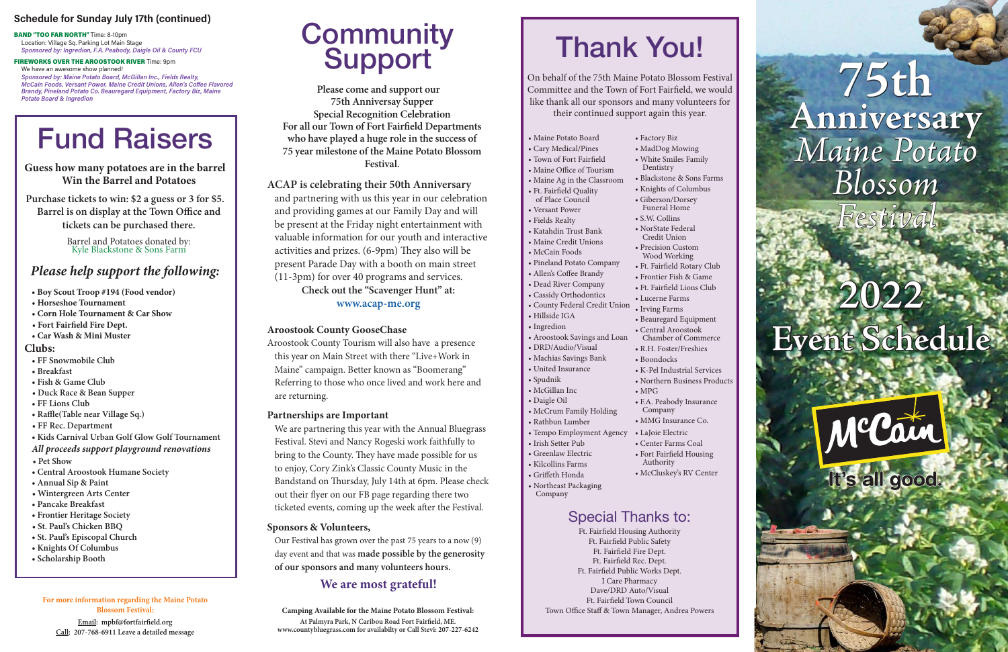# **2022 Event Schedule**



# **75th Anniversary**  *Maine Potato Blossom*

*Festival*

# Thank You!

On behalf of the 75th Maine Potato Blossom Festival Committee and the Town of Fort Fairfield, we would like thank all our sponsors and many volunteers for their continued support again this year.

- Maine Potato Board
- Cary Medical/Pines
- Town of Fort Fairfield
- Maine Office of Tourism
- Maine Ag in the Classroom
- Ft. Fairfield Quality
- of Place Council
- Versant Power • Fields Realty
- 
- Katahdin Trust Bank • Maine Credit Unions
- McCain Foods
- 
- Pineland Potato Company • Allen's Coffee Brandy
- 
- Dead River Company • Cassidy Orthodontics
- 
- Hillside IGA
- Ingredion
- Aroostook Savings and Loan
- DRD/Audio/Visual
- Machias Savings Bank
- United Insurance
- Spudnik
- McGillan Inc
- Daigle Oil
- McCrum Family Holding
- Rathbun Lumber
- Tempo Employment Agency
- Irish Setter Pub
- Greenlaw Electric
- Kilcollins Farms
- Griffeth Honda
- Northeast Packaging
- Company

• County Federal Credit Union • Irving Farms • Ft. Fairfield Lions Club • Lucerne Farms • Beauregard Equipment

• Factory Biz • MadDog Mowing • White Smiles Family

Dentistry

• Blackstone & Sons Farms • Knights of Columbus • Giberson/Dorsey Funeral Home • S.W. Collins • NorState Federal Credit Union • Precision Custom Wood Working • Ft. Fairfield Rotary Club • Frontier Fish & Game

• Central Aroostook Chamber of Commerce • R.H. Foster/Freshies

• Boondocks

- K-Pel Industrial Services • Northern Business Products • MPG
- F.A. Peabody Insurance
- Company • MMG Insurance Co.
- LaJoie Electric
- 
- Fort Fairfield Housing
- Authority
	-
- 
- 
- 
- Center Farms Coal
- McCluskey's RV Center

# Special Thanks to:

Ft. Fairfield Housing Authority Ft. Fairfield Public Safety Ft. Fairfield Fire Dept. Ft. Fairfield Rec. Dept. Ft. Fairfield Public Works Dept. I Care Pharmacy Dave/DRD Auto/Visual Ft. Fairfield Town Council Town Office Staff & Town Manager, Andrea Powers

# **Community** Support

# Fund Raisers

**Guess how many potatoes are in the barrel Win the Barrel and Potatoes**

**Purchase tickets to win: \$2 a guess or 3 for \$5. Barrel is on display at the Town Office and tickets can be purchased there.**

> Barrel and Potatoes donated by: Kyle Blackstone & Sons Farm

# *Please help support the following:*

- **Boy Scout Troop #194 (Food vendor)**
- **Horseshoe Tournament**
- **Corn Hole Tournament & Car Show**
- **Fort Fairfield Fire Dept.**
- **Car Wash & Mini Muster**

## **Clubs:**

- **FF Snowmobile Club**
- **Breakfast**
- **Fish & Game Club**
- **Duck Race & Bean Supper**
- **FF Lions Club**
- **Raffle(Table near Village Sq.)**
- **FF Rec. Department**
- **Kids Carnival Urban Golf Glow Golf Tournament**
- *All proceeds support playground renovations*
- **Pet Show**
- **Central Aroostook Humane Society**
- **Annual Sip & Paint**
- **Wintergreen Arts Center**
- **Pancake Breakfast**
- **Frontier Heritage Society**
- **St. Paul's Chicken BBQ**
- **St. Paul's Episcopal Church**
- **Knights Of Columbus**
- **Scholarship Booth**

#### **For more information regarding the Maine Potato Blossom Festival:**

**Email: mpbf@fortfairfield.org Call: 207-768-6911 Leave a detailed message**

**Camping Available for the Maine Potato Blossom Festival: At Palmyra Park, N Caribou Road Fort Fairfield, ME. www.countybluegrass.com for availabilty or Call Stevi: 207-227-6242**

# **Schedule for Sunday July 17th (continued)**

BAND "TOO FAR NORTH" Time: 8-10pm Location: Village Sq. Parking Lot Main Stage *Sponsored by: Ingredion, F.A. Peabody, Daigle Oil & County FCU*

FIREWORKS OVER THE AROOSTOOK RIVER Time: 9pm We have an awesome show planned! *Sponsored by: Maine Potato Board, McGillan Inc., Fields Realty, McCain Foods, Versant Power, Maine Credit Unions, Allen's Coffee Flavored Brandy, Pineland Potato Co. Beauregard Equipment, Factory Biz, Maine Potato Board & Ingredion*

**Please come and support our 75th Anniversay Supper Special Recognition Celebration For all our Town of Fort Fairfield Departments who have played a huge role in the success of 75 year milestone of the Maine Potato Blossom Festival.**

**ACAP is celebrating their 50th Anniversary** and partnering with us this year in our celebration and providing games at our Family Day and will be present at the Friday night entertainment with valuable information for our youth and interactive activities and prizes. (6-9pm) They also will be present Parade Day with a booth on main street (11-3pm) for over 40 programs and services. **Check out the "Scavenger Hunt" at:** 

**www.acap-me.org**

## **Aroostook County GooseChase**

Aroostook County Tourism will also have a presence this year on Main Street with there "Live+Work in Maine" campaign. Better known as "Boomerang" Referring to those who once lived and work here and are returning.

## **Partnerships are Important**

We are partnering this year with the Annual Bluegrass Festival. Stevi and Nancy Rogeski work faithfully to bring to the County. They have made possible for us to enjoy, Cory Zink's Classic County Music in the Bandstand on Thursday, July 14th at 6pm. Please check out their flyer on our FB page regarding there two ticketed events, coming up the week after the Festival.

## **Sponsors & Volunteers,**

Our Festival has grown over the past 75 years to a now (9) day event and that was **made possible by the generosity of our sponsors and many volunteers hours.** 

# **We are most grateful!**